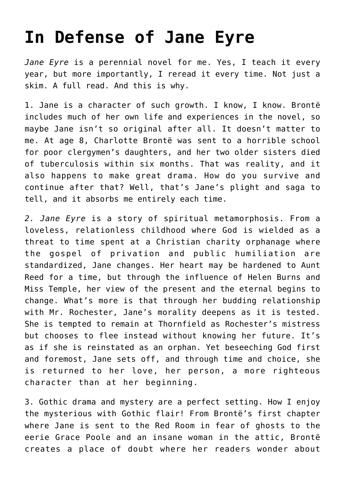## **[In Defense of Jane Eyre](https://intellectualtakeout.org/2019/09/in-defense-of-jane-eyre/)**

*Jane Eyre* is a perennial novel for me. Yes, I teach it every year, but more importantly, I reread it every time. Not just a skim. A full read. And this is why.

1. Jane is a character of such growth. I know, I know. Brontë includes much of her own life and experiences in the novel, so maybe Jane isn't so original after all. It doesn't matter to me. At age 8, Charlotte Brontë was sent to a horrible school for poor clergymen's daughters, and her two older sisters died of tuberculosis within six months. That was reality, and it also happens to make great drama. How do you survive and continue after that? Well, that's Jane's plight and saga to tell, and it absorbs me entirely each time.

*2. Jane Eyre* is a story of spiritual metamorphosis. From a loveless, relationless childhood where God is wielded as a threat to time spent at a Christian charity orphanage where the gospel of privation and public humiliation are standardized, Jane changes. Her heart may be hardened to Aunt Reed for a time, but through the influence of Helen Burns and Miss Temple, her view of the present and the eternal begins to change. What's more is that through her budding relationship with Mr. Rochester, Jane's morality deepens as it is tested. She is tempted to remain at Thornfield as Rochester's mistress but chooses to flee instead without knowing her future. It's as if she is reinstated as an orphan. Yet beseeching God first and foremost, Jane sets off, and through time and choice, she is returned to her love, her person, a more righteous character than at her beginning.

3. Gothic drama and mystery are a perfect setting. How I enjoy the mysterious with Gothic flair! From Brontë's first chapter where Jane is sent to the Red Room in fear of ghosts to the eerie Grace Poole and an insane woman in the attic, Brontë creates a place of doubt where her readers wonder about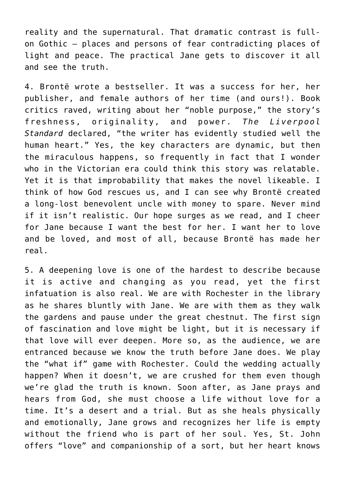reality and the supernatural. That dramatic contrast is fullon Gothic – places and persons of fear contradicting places of light and peace. The practical Jane gets to discover it all and see the truth.

4. Brontë wrote a bestseller. It was a success for her, her publisher, and female authors of her time (and ours!). Book critics raved, writing about her "noble purpose," the story's freshness, originality, and power. *The Liverpool Standard* declared, "the writer has evidently studied well the human heart." Yes, the key characters are dynamic, but then the miraculous happens, so frequently in fact that I wonder who in the Victorian era could think this story was relatable. Yet it is that improbability that makes the novel likeable. I think of how God rescues us, and I can see why Brontë created a long-lost benevolent uncle with money to spare. Never mind if it isn't realistic. Our hope surges as we read, and I cheer for Jane because I want the best for her. I want her to love and be loved, and most of all, because Brontë has made her real.

5. A deepening love is one of the hardest to describe because it is active and changing as you read, yet the first infatuation is also real. We are with Rochester in the library as he shares bluntly with Jane. We are with them as they walk the gardens and pause under the great chestnut. The first sign of fascination and love might be light, but it is necessary if that love will ever deepen. More so, as the audience, we are entranced because we know the truth before Jane does. We play the "what if" game with Rochester. Could the wedding actually happen? When it doesn't, we are crushed for them even though we're glad the truth is known. Soon after, as Jane prays and hears from God, she must choose a life without love for a time. It's a desert and a trial. But as she heals physically and emotionally, Jane grows and recognizes her life is empty without the friend who is part of her soul. Yes, St. John offers "love" and companionship of a sort, but her heart knows